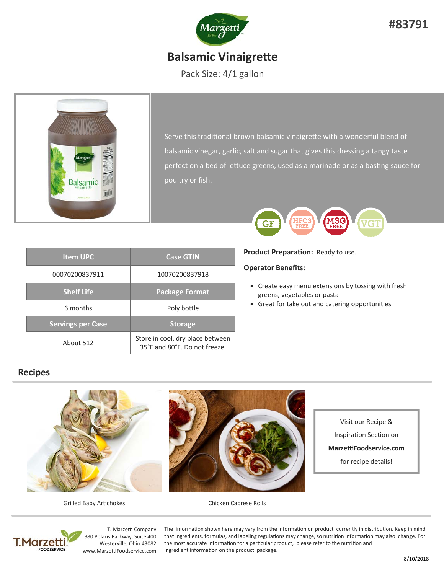

Pack Size: 4/1 gallon



Serve this traditional brown balsamic vinaigrette with a wonderful blend of balsamic vinegar, garlic, salt and sugar that gives this dressing a tangy taste perfect on a bed of lettuce greens, used as a marinade or as a basting sauce for poultry or fish.

| <b>Item UPC</b>          | <b>Case GTIN</b>                                                  |  |
|--------------------------|-------------------------------------------------------------------|--|
| 00070200837911           | 10070200837918                                                    |  |
| <b>Shelf Life</b>        | <b>Package Format</b>                                             |  |
| 6 months                 | Poly bottle                                                       |  |
| <b>Servings per Case</b> | <b>Storage</b>                                                    |  |
| About 512                | Store in cool, dry place between<br>35°F and 80°F. Do not freeze. |  |

# **VGT** GF

**Product Preparation: Ready to use.** 

### **Operator Benefits:**

- Create easy menu extensions by tossing with fresh greens, vegetables or pasta
- Great for take out and catering opportunities

### **Recipes**



Visit our Recipe & Inspiration Section on **MarzeƫFoodservice.com**  for recipe details!



T. Marze

T. Marzetti Company 380 Polaris Parkway, Suite 400 Westerville, Ohio 43082 www.MarzeƫFoodservice.com

The information shown here may vary from the information on product currently in distribution. Keep in mind that ingredients, formulas, and labeling regulations may change, so nutrition information may also change. For the most accurate information for a particular product, please refer to the nutrition and ingredient information on the product package.